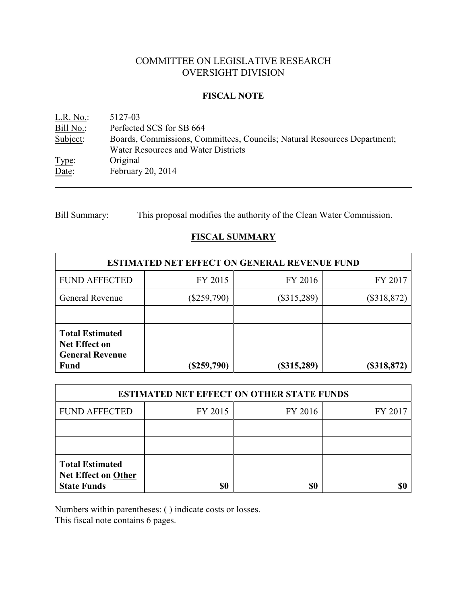# COMMITTEE ON LEGISLATIVE RESEARCH OVERSIGHT DIVISION

#### **FISCAL NOTE**

<u>L.R. No.</u>: 5127-03<br>
<u>Bill No.</u>: Perfected Perfected SCS for SB 664 Subject: Boards, Commissions, Committees, Councils; Natural Resources Department; Water Resources and Water Districts Type: Original Date: February 20, 2014

Bill Summary: This proposal modifies the authority of the Clean Water Commission.

# **FISCAL SUMMARY**

| <b>ESTIMATED NET EFFECT ON GENERAL REVENUE FUND</b>                                     |               |                                |               |
|-----------------------------------------------------------------------------------------|---------------|--------------------------------|---------------|
| <b>FUND AFFECTED</b>                                                                    | FY 2015       | FY 2016                        | FY 2017       |
| <b>General Revenue</b>                                                                  | $(\$259,790)$ | $(\$315,289)$<br>$(\$318,872)$ |               |
|                                                                                         |               |                                |               |
| <b>Total Estimated</b><br><b>Net Effect on</b><br><b>General Revenue</b><br><b>Fund</b> | $(\$259,790)$ | (\$315,289)                    | $(\$318,872)$ |

| <b>ESTIMATED NET EFFECT ON OTHER STATE FUNDS</b>                           |         |         |         |  |
|----------------------------------------------------------------------------|---------|---------|---------|--|
| <b>FUND AFFECTED</b>                                                       | FY 2015 | FY 2016 | FY 2017 |  |
|                                                                            |         |         |         |  |
|                                                                            |         |         |         |  |
| <b>Total Estimated</b><br><b>Net Effect on Other</b><br><b>State Funds</b> | \$0     | \$0     |         |  |

Numbers within parentheses: ( ) indicate costs or losses.

This fiscal note contains 6 pages.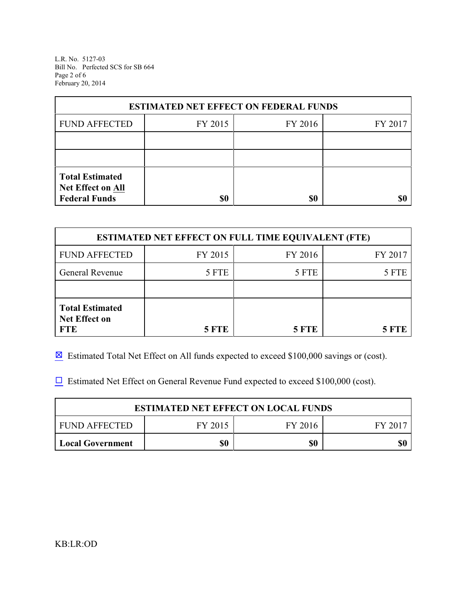L.R. No. 5127-03 Bill No. Perfected SCS for SB 664 Page 2 of 6 February 20, 2014

| <b>ESTIMATED NET EFFECT ON FEDERAL FUNDS</b> |         |         |         |  |
|----------------------------------------------|---------|---------|---------|--|
| <b>FUND AFFECTED</b>                         | FY 2015 | FY 2016 | FY 2017 |  |
|                                              |         |         |         |  |
|                                              |         |         |         |  |
| <b>Total Estimated</b><br>Net Effect on All  |         |         |         |  |
| <b>Federal Funds</b>                         | \$0     | \$0     |         |  |

| <b>ESTIMATED NET EFFECT ON FULL TIME EQUIVALENT (FTE)</b>    |              |              |         |  |
|--------------------------------------------------------------|--------------|--------------|---------|--|
| <b>FUND AFFECTED</b>                                         | FY 2015      | FY 2016      | FY 2017 |  |
| <b>General Revenue</b>                                       | 5 FTE        | 5 FTE        | 5 FTE   |  |
|                                                              |              |              |         |  |
| <b>Total Estimated</b><br><b>Net Effect on</b><br><b>FTE</b> | <b>5 FTE</b> | <b>5 FTE</b> | 5 FTE   |  |

 $\boxtimes$  Estimated Total Net Effect on All funds expected to exceed \$100,000 savings or (cost).

 $\Box$  Estimated Net Effect on General Revenue Fund expected to exceed \$100,000 (cost).

| <b>ESTIMATED NET EFFECT ON LOCAL FUNDS</b> |         |         |       |
|--------------------------------------------|---------|---------|-------|
| FUND AFFECTED                              | FY 2015 | FY 2016 | FY 20 |
| <b>Local Government</b>                    | \$0     | \$0     | \$0   |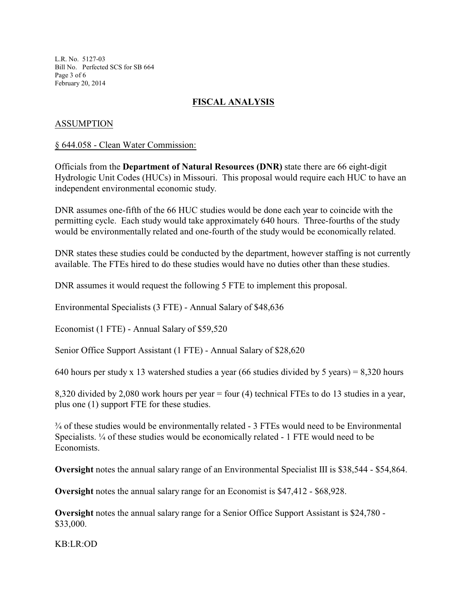L.R. No. 5127-03 Bill No. Perfected SCS for SB 664 Page 3 of 6 February 20, 2014

## **FISCAL ANALYSIS**

### ASSUMPTION

#### § 644.058 - Clean Water Commission:

Officials from the **Department of Natural Resources (DNR)** state there are 66 eight-digit Hydrologic Unit Codes (HUCs) in Missouri. This proposal would require each HUC to have an independent environmental economic study.

DNR assumes one-fifth of the 66 HUC studies would be done each year to coincide with the permitting cycle. Each study would take approximately 640 hours. Three-fourths of the study would be environmentally related and one-fourth of the study would be economically related.

DNR states these studies could be conducted by the department, however staffing is not currently available. The FTEs hired to do these studies would have no duties other than these studies.

DNR assumes it would request the following 5 FTE to implement this proposal.

Environmental Specialists (3 FTE) - Annual Salary of \$48,636

Economist (1 FTE) - Annual Salary of \$59,520

Senior Office Support Assistant (1 FTE) - Annual Salary of \$28,620

640 hours per study x 13 watershed studies a year (66 studies divided by 5 years) = 8,320 hours

8,320 divided by 2,080 work hours per year = four (4) technical FTEs to do 13 studies in a year, plus one (1) support FTE for these studies.

 $\frac{3}{4}$  of these studies would be environmentally related - 3 FTEs would need to be Environmental Specialists. ¼ of these studies would be economically related - 1 FTE would need to be Economists.

**Oversight** notes the annual salary range of an Environmental Specialist III is \$38,544 - \$54,864.

**Oversight** notes the annual salary range for an Economist is \$47,412 - \$68,928.

**Oversight** notes the annual salary range for a Senior Office Support Assistant is \$24,780 - \$33,000.

KB:LR:OD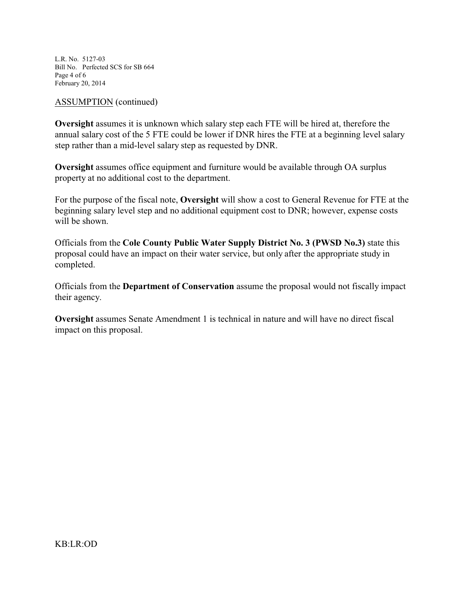L.R. No. 5127-03 Bill No. Perfected SCS for SB 664 Page 4 of 6 February 20, 2014

#### ASSUMPTION (continued)

**Oversight** assumes it is unknown which salary step each FTE will be hired at, therefore the annual salary cost of the 5 FTE could be lower if DNR hires the FTE at a beginning level salary step rather than a mid-level salary step as requested by DNR.

**Oversight** assumes office equipment and furniture would be available through OA surplus property at no additional cost to the department.

For the purpose of the fiscal note, **Oversight** will show a cost to General Revenue for FTE at the beginning salary level step and no additional equipment cost to DNR; however, expense costs will be shown.

Officials from the **Cole County Public Water Supply District No. 3 (PWSD No.3)** state this proposal could have an impact on their water service, but only after the appropriate study in completed.

Officials from the **Department of Conservation** assume the proposal would not fiscally impact their agency.

**Oversight** assumes Senate Amendment 1 is technical in nature and will have no direct fiscal impact on this proposal.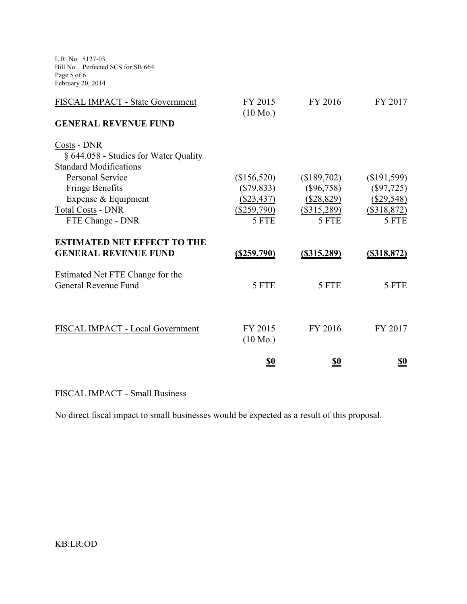L.R. No. 5127-03 Bill No. Perfected SCS for SB 664 Page 5 of 6 February 20, 2014

| FISCAL IMPACT - State Government      | FY 2015<br>$(10 \text{ Mo.})$ | FY 2016        | FY 2017        |
|---------------------------------------|-------------------------------|----------------|----------------|
| <b>GENERAL REVENUE FUND</b>           |                               |                |                |
| Costs - DNR                           |                               |                |                |
| § 644.058 - Studies for Water Quality |                               |                |                |
| <b>Standard Modifications</b>         |                               |                |                |
| Personal Service                      | (\$156,520)                   | (\$189,702)    | (\$191,599)    |
| <b>Fringe Benefits</b>                | $(\$79,833)$                  | $(\$96,758)$   | $(\$97,725)$   |
| Expense & Equipment                   | $(\$23,437)$                  | $(\$28,829)$   | $(\$29,548)$   |
| <b>Total Costs - DNR</b>              | $(\$259,790)$                 | $(\$315,289)$  | $(\$318,872)$  |
| FTE Change - DNR                      | 5 FTE                         | 5 FTE          | 5 FTE          |
| <b>ESTIMATED NET EFFECT TO THE</b>    |                               |                |                |
| <b>GENERAL REVENUE FUND</b>           | <u>(\$259,790)</u>            | $($ \$315,289) | $($ \$318,872) |
| Estimated Net FTE Change for the      |                               |                |                |
| General Revenue Fund                  | 5 FTE                         | 5 FTE          | 5 FTE          |
|                                       |                               |                |                |
|                                       |                               |                |                |
| FISCAL IMPACT - Local Government      | FY 2015                       | FY 2016        | FY 2017        |
|                                       | $(10 \text{ Mo.})$            |                |                |
|                                       | <u>\$0</u>                    | <u>\$0</u>     | <u>\$0</u>     |

## FISCAL IMPACT - Small Business

No direct fiscal impact to small businesses would be expected as a result of this proposal.